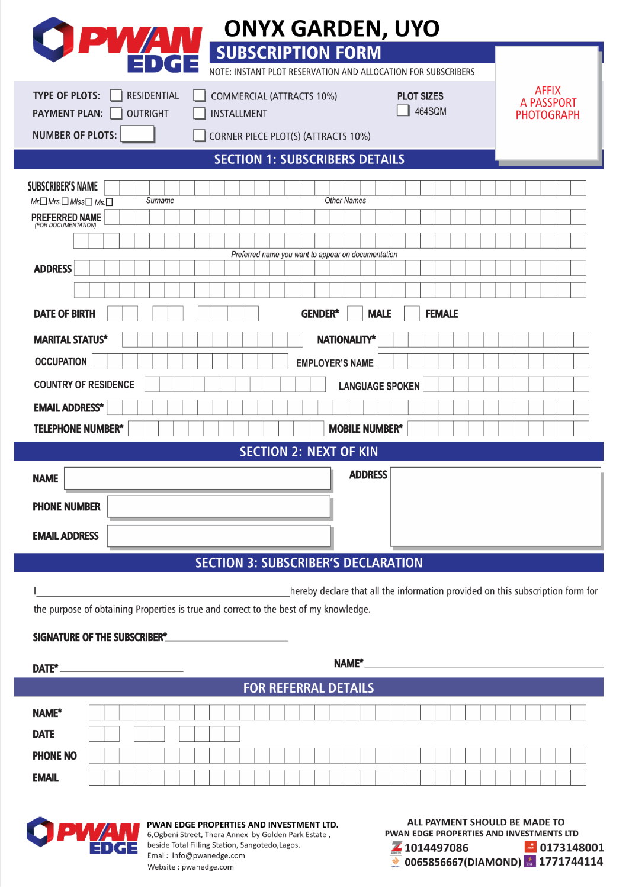| <b>ONYX GARDEN, UYO</b>                                                              |                                                                                |
|--------------------------------------------------------------------------------------|--------------------------------------------------------------------------------|
| <b>PWAN</b><br><b>SUBSCRIPTION FORM</b>                                              |                                                                                |
| NOTE: INSTANT PLOT RESERVATION AND ALLOCATION FOR SUBSCRIBERS                        |                                                                                |
| <b>TYPE OF PLOTS:</b><br><b>RESIDENTIAL</b><br><b>COMMERCIAL (ATTRACTS 10%)</b>      | <b>AFFIX</b><br><b>PLOT SIZES</b><br><b>A PASSPORT</b><br>464SQM               |
| <b>PAYMENT PLAN:</b><br><b>OUTRIGHT</b><br>INSTALLMENT                               | <b>PHOTOGRAPH</b>                                                              |
| <b>NUMBER OF PLOTS:</b><br>CORNER PIECE PLOT(S) (ATTRACTS 10%)                       |                                                                                |
| <b>SECTION 1: SUBSCRIBERS DETAILS</b>                                                |                                                                                |
| <b>SUBSCRIBER'S NAME</b><br>Surname                                                  | <b>Other Names</b>                                                             |
| $Mr \square Mrs \square Miss \square Ms \square$<br><b>PREFERRED NAME</b>            |                                                                                |
|                                                                                      |                                                                                |
| Preferred name you want to appear on documentation<br><b>ADDRESS</b>                 |                                                                                |
|                                                                                      |                                                                                |
| <b>DATE OF BIRTH</b><br><b>GENDER*</b>                                               | <b>FEMALE</b><br><b>MALE</b>                                                   |
|                                                                                      |                                                                                |
| <b>MARITAL STATUS*</b><br><b>OCCUPATION</b>                                          | <b>NATIONALITY*</b>                                                            |
| <b>COUNTRY OF RESIDENCE</b>                                                          | <b>EMPLOYER'S NAME</b>                                                         |
|                                                                                      | <b>LANGUAGE SPOKEN</b>                                                         |
| <b>EMAIL ADDRESS*</b><br><b>TELEPHONE NUMBER*</b>                                    | <b>MOBILE NUMBER*</b>                                                          |
| <b>SECTION 2: NEXT OF KIN</b>                                                        |                                                                                |
|                                                                                      | <b>ADDRESS</b>                                                                 |
| <b>NAME</b>                                                                          |                                                                                |
| <b>PHONE NUMBER</b>                                                                  |                                                                                |
| <b>EMAIL ADDRESS</b>                                                                 |                                                                                |
| <b>SECTION 3: SUBSCRIBER'S DECLARATION</b>                                           |                                                                                |
|                                                                                      | hereby declare that all the information provided on this subscription form for |
| the purpose of obtaining Properties is true and correct to the best of my knowledge. |                                                                                |
| SIGNATURE OF THE SUBSCRIBER*                                                         |                                                                                |
|                                                                                      |                                                                                |
| DATE <sup>*</sup>                                                                    |                                                                                |
| <b>FOR REFERRAL DETAILS</b>                                                          |                                                                                |
| <b>NAME*</b>                                                                         |                                                                                |
| <b>DATE</b>                                                                          |                                                                                |
| <b>PHONE NO</b>                                                                      |                                                                                |
| <b>EMAIL</b>                                                                         |                                                                                |



PWAN EDGE PROPERTIES AND INVESTMENT LTD. 6, Ogbeni Street, Thera Annex by Golden Park Estate, beside Total Filling Station, Sangotedo, Lagos. Email: info@pwanedge.com Website: pwanedge.com

ALL PAYMENT SHOULD BE MADE TO PWAN EDGE PROPERTIES AND INVESTMENTS LTD  $\blacksquare$  0173148001 Z 1014497086  $\bigcirc$  0065856667(DIAMOND)  $\bigcirc$  1771744114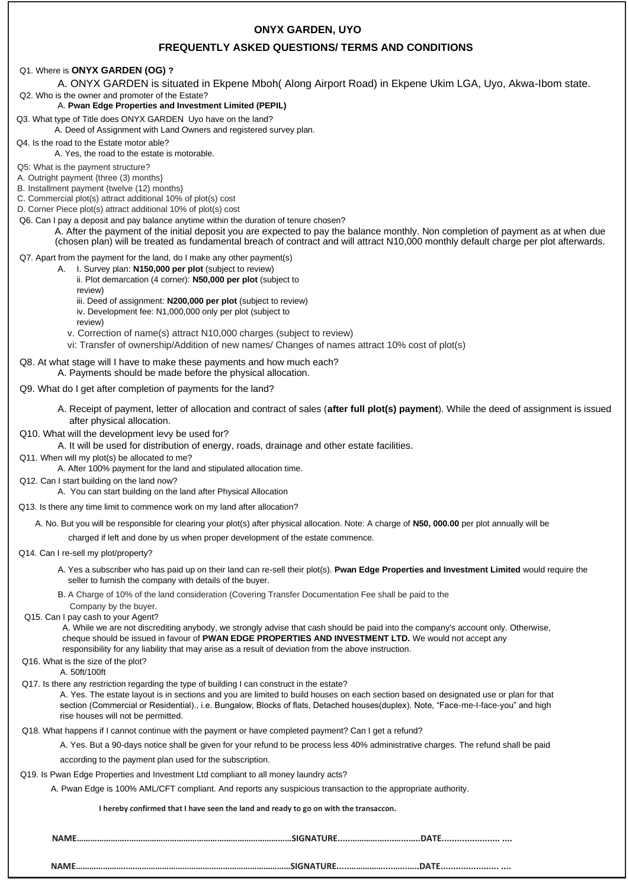## **ONYX GARDEN, UYO**

# **FREQUENTLY ASKED QUESTIONS/ TERMS AND CONDITIONS**

## Q1. Where is **ONYX GARDEN (OG) ?**

A. ONYX GARDEN is situated in Ekpene Mboh( Along Airport Road) in Ekpene Ukim LGA, Uyo, Akwa-Ibom state.

#### Q2. Who is the owner and promoter of the Estate? A. **Pwan Edge Properties and Investment Limited (PEPIL)**

Q3. What type of Title does ONYX GARDEN Uyo have on the land?

- A. Deed of Assignment with Land Owners and registered survey plan.
- Q4. Is the road to the Estate motor able?

A. Yes, the road to the estate is motorable.

Q5: What is the payment structure?

A. Outright payment {three (3) months}

B. Installment payment {twelve (12) months}

C. Commercial plot(s) attract additional 10% of plot(s) cost D. Corner Piece plot(s) attract additional 10% of plot(s) cost

Q6. Can I pay a deposit and pay balance anytime within the duration of tenure chosen?

A. After the payment of the initial deposit you are expected to pay the balance monthly. Non completion of payment as at when due

(chosen plan) will be treated as fundamental breach of contract and will attract N10,000 monthly default charge per plot afterwards.

# Q7. Apart from the payment for the land, do I make any other payment(s)

- A. I. Survey plan: **N150,000 per plot** (subject to review)
	- ii. Plot demarcation (4 corner): **N50,000 per plot** (subject to
	- review)
	- iii. Deed of assignment: **N200,000 per plot** (subject to review) iv. Development fee: N1,000,000 only per plot (subject to

review)

- v. Correction of name(s) attract N10,000 charges (subject to review)
- vi: Transfer of ownership/Addition of new names/ Changes of names attract 10% cost of plot(s)
- Q8. At what stage will I have to make these payments and how much each?

A. Payments should be made before the physical allocation.

## Q9. What do I get after completion of payments for the land?

- A. Receipt of payment, letter of allocation and contract of sales (**after full plot(s) payment**). While the deed of assignment is issued after physical allocation.
- Q10. What will the development levy be used for?
	- A. It will be used for distribution of energy, roads, drainage and other estate facilities.
- Q11. When will my plot(s) be allocated to me?
	- A. After 100% payment for the land and stipulated allocation time.
- Q12. Can I start building on the land now?
	- A. You can start building on the land after Physical Allocation
- Q13. Is there any time limit to commence work on my land after allocation?
	- A. No. But you will be responsible for clearing your plot(s) after physical allocation. Note: A charge of **N50, 000.00** per plot annually will be
	- charged if left and done by us when proper development of the estate commence.
- Q14. Can I re-sell my plot/property?
	- A. Yes a subscriber who has paid up on their land can re-sell their plot(s). **Pwan Edge Properties and Investment Limited** would require the seller to furnish the company with details of the buyer.
	- B. A Charge of 10% of the land consideration (Covering Transfer Documentation Fee shall be paid to the
	- Company by the buyer.
- Q15. Can I pay cash to your Agent?

A. While we are not discrediting anybody, we strongly advise that cash should be paid into the company's account only. Otherwise, cheque should be issued in favour of **PWAN EDGE PROPERTIES AND INVESTMENT LTD.** We would not accept any responsibility for any liability that may arise as a result of deviation from the above instruction.

- Q16. What is the size of the plot?
- A. 50ft/100ft
- Q17. Is there any restriction regarding the type of building I can construct in the estate?

A. Yes. The estate layout is in sections and you are limited to build houses on each section based on designated use or plan for that section (Commercial or Residential)., i.e. Bungalow, Blocks of flats, Detached houses(duplex). Note, "Face-me-I-face-you" and high rise houses will not be permitted.

Q18. What happens if I cannot continue with the payment or have completed payment? Can I get a refund?

A. Yes. But a 90-days notice shall be given for your refund to be process less 40% administrative charges. The refund shall be paid

according to the payment plan used for the subscription.

Q19. Is Pwan Edge Properties and Investment Ltd compliant to all money laundry acts?

A. Pwan Edge is 100% AML/CFT compliant. And reports any suspicious transaction to the appropriate authority.

**I hereby confirmed that I have seen the land and ready to go on with the transaccon.** 

**NAME…………………..………………………………………………………………SIGNATURE.....……………....…...…..DATE....................... ....** 

**NAME…………………..………………………………………………………………SIGNATURE.....……………....…...…..DATE....................... ....**